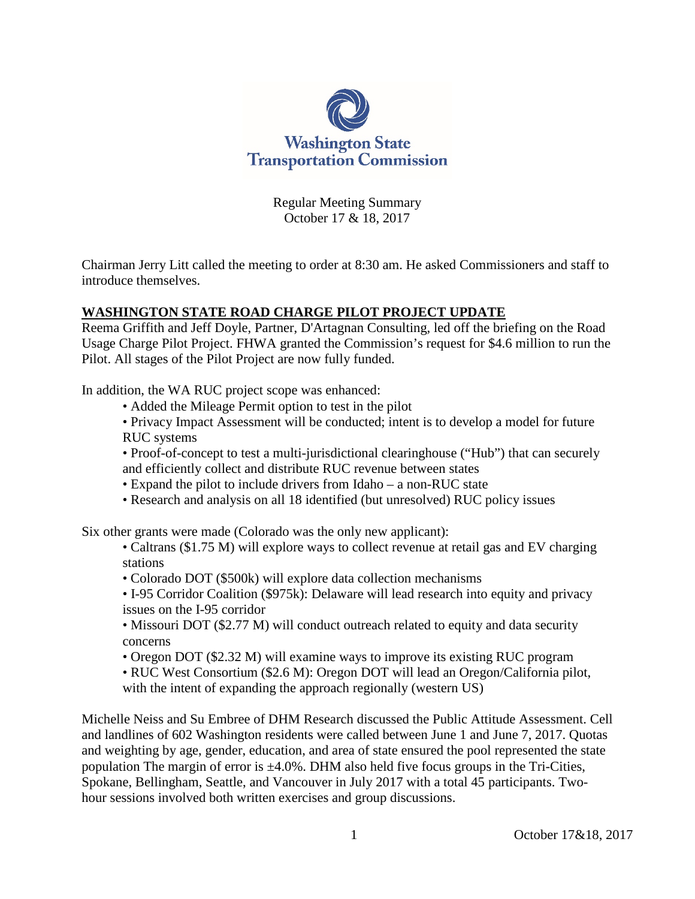

Regular Meeting Summary October 17 & 18, 2017

Chairman Jerry Litt called the meeting to order at 8:30 am. He asked Commissioners and staff to introduce themselves.

# **WASHINGTON STATE ROAD CHARGE PILOT PROJECT UPDATE**

Reema Griffith and Jeff Doyle, Partner, D'Artagnan Consulting, led off the briefing on the Road Usage Charge Pilot Project. FHWA granted the Commission's request for \$4.6 million to run the Pilot. All stages of the Pilot Project are now fully funded.

In addition, the WA RUC project scope was enhanced:

- Added the Mileage Permit option to test in the pilot
- Privacy Impact Assessment will be conducted; intent is to develop a model for future RUC systems
- Proof-of-concept to test a multi-jurisdictional clearinghouse ("Hub") that can securely and efficiently collect and distribute RUC revenue between states
- Expand the pilot to include drivers from Idaho a non-RUC state
- Research and analysis on all 18 identified (but unresolved) RUC policy issues

Six other grants were made (Colorado was the only new applicant):

- Caltrans (\$1.75 M) will explore ways to collect revenue at retail gas and EV charging stations
- Colorado DOT (\$500k) will explore data collection mechanisms
- I-95 Corridor Coalition (\$975k): Delaware will lead research into equity and privacy issues on the I-95 corridor
- Missouri DOT (\$2.77 M) will conduct outreach related to equity and data security concerns
- Oregon DOT (\$2.32 M) will examine ways to improve its existing RUC program
- RUC West Consortium (\$2.6 M): Oregon DOT will lead an Oregon/California pilot, with the intent of expanding the approach regionally (western US)

Michelle Neiss and Su Embree of DHM Research discussed the Public Attitude Assessment. Cell and landlines of 602 Washington residents were called between June 1 and June 7, 2017. Quotas and weighting by age, gender, education, and area of state ensured the pool represented the state population The margin of error is  $\pm 4.0\%$ . DHM also held five focus groups in the Tri-Cities, Spokane, Bellingham, Seattle, and Vancouver in July 2017 with a total 45 participants. Twohour sessions involved both written exercises and group discussions.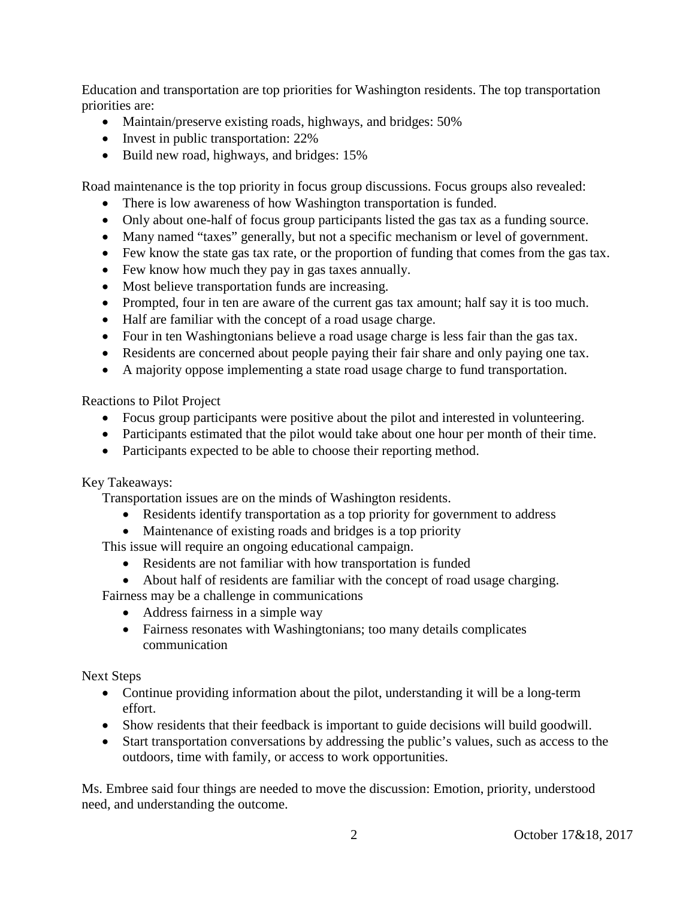Education and transportation are top priorities for Washington residents. The top transportation priorities are:

- Maintain/preserve existing roads, highways, and bridges: 50%
- Invest in public transportation: 22%
- Build new road, highways, and bridges: 15%

Road maintenance is the top priority in focus group discussions. Focus groups also revealed:

- There is low awareness of how Washington transportation is funded.
- Only about one-half of focus group participants listed the gas tax as a funding source.
- Many named "taxes" generally, but not a specific mechanism or level of government.
- Few know the state gas tax rate, or the proportion of funding that comes from the gas tax.
- Few know how much they pay in gas taxes annually.
- Most believe transportation funds are increasing.
- Prompted, four in ten are aware of the current gas tax amount; half say it is too much.
- Half are familiar with the concept of a road usage charge.
- Four in ten Washingtonians believe a road usage charge is less fair than the gas tax.
- Residents are concerned about people paying their fair share and only paying one tax.
- A majority oppose implementing a state road usage charge to fund transportation.

Reactions to Pilot Project

- Focus group participants were positive about the pilot and interested in volunteering.
- Participants estimated that the pilot would take about one hour per month of their time.
- Participants expected to be able to choose their reporting method.

Key Takeaways:

Transportation issues are on the minds of Washington residents.

- Residents identify transportation as a top priority for government to address
- Maintenance of existing roads and bridges is a top priority

This issue will require an ongoing educational campaign.

- Residents are not familiar with how transportation is funded
- About half of residents are familiar with the concept of road usage charging.
- Fairness may be a challenge in communications
	- Address fairness in a simple way
	- Fairness resonates with Washingtonians; too many details complicates communication

Next Steps

- Continue providing information about the pilot, understanding it will be a long-term effort.
- Show residents that their feedback is important to guide decisions will build goodwill.
- Start transportation conversations by addressing the public's values, such as access to the outdoors, time with family, or access to work opportunities.

Ms. Embree said four things are needed to move the discussion: Emotion, priority, understood need, and understanding the outcome.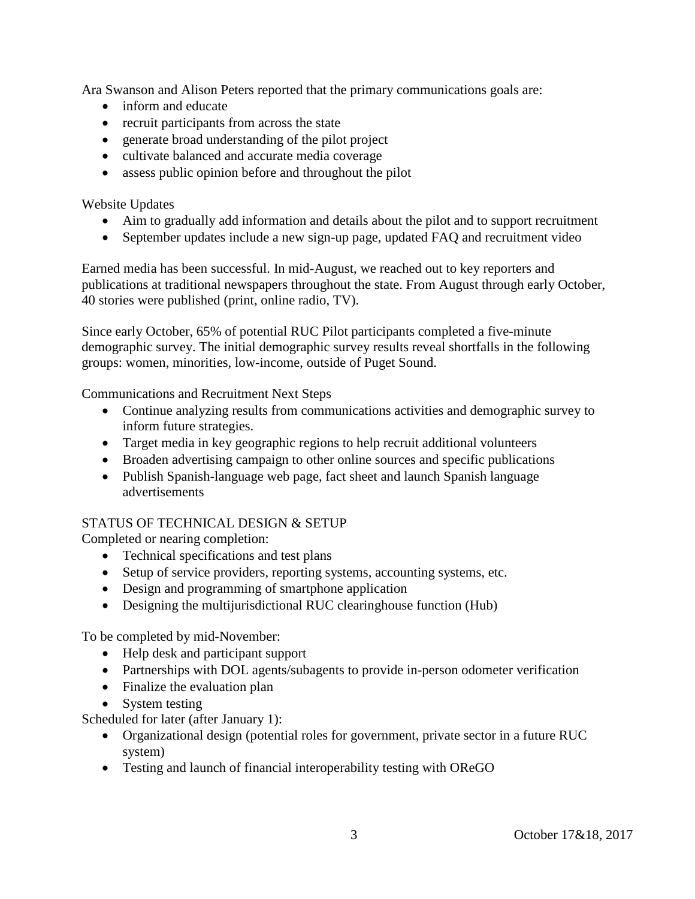Ara Swanson and Alison Peters reported that the primary communications goals are:

- inform and educate
- recruit participants from across the state
- generate broad understanding of the pilot project
- cultivate balanced and accurate media coverage
- assess public opinion before and throughout the pilot

Website Updates

- Aim to gradually add information and details about the pilot and to support recruitment
- September updates include a new sign-up page, updated FAQ and recruitment video

Earned media has been successful. In mid-August, we reached out to key reporters and publications at traditional newspapers throughout the state. From August through early October, 40 stories were published (print, online radio, TV).

Since early October, 65% of potential RUC Pilot participants completed a five-minute demographic survey. The initial demographic survey results reveal shortfalls in the following groups: women, minorities, low-income, outside of Puget Sound.

Communications and Recruitment Next Steps

- Continue analyzing results from communications activities and demographic survey to inform future strategies.
- Target media in key geographic regions to help recruit additional volunteers
- Broaden advertising campaign to other online sources and specific publications
- Publish Spanish-language web page, fact sheet and launch Spanish language advertisements

#### STATUS OF TECHNICAL DESIGN & SETUP

Completed or nearing completion:

- Technical specifications and test plans
- Setup of service providers, reporting systems, accounting systems, etc.
- Design and programming of smartphone application
- Designing the multijurisdictional RUC clearinghouse function (Hub)

To be completed by mid-November:

- Help desk and participant support
- Partnerships with DOL agents/subagents to provide in-person odometer verification
- Finalize the evaluation plan
- System testing

Scheduled for later (after January 1):

- Organizational design (potential roles for government, private sector in a future RUC system)
- Testing and launch of financial interoperability testing with OReGO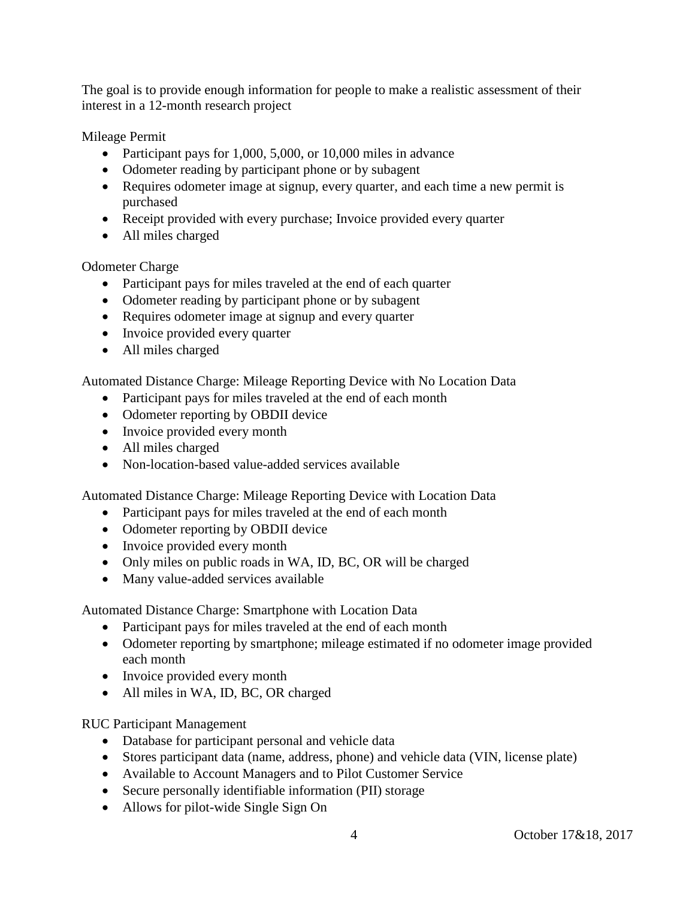The goal is to provide enough information for people to make a realistic assessment of their interest in a 12-month research project

Mileage Permit

- Participant pays for 1,000, 5,000, or 10,000 miles in advance
- Odometer reading by participant phone or by subagent
- Requires odometer image at signup, every quarter, and each time a new permit is purchased
- Receipt provided with every purchase; Invoice provided every quarter
- All miles charged

Odometer Charge

- Participant pays for miles traveled at the end of each quarter
- Odometer reading by participant phone or by subagent
- Requires odometer image at signup and every quarter
- Invoice provided every quarter
- All miles charged

Automated Distance Charge: Mileage Reporting Device with No Location Data

- Participant pays for miles traveled at the end of each month
- Odometer reporting by OBDII device
- Invoice provided every month
- All miles charged
- Non-location-based value-added services available

Automated Distance Charge: Mileage Reporting Device with Location Data

- Participant pays for miles traveled at the end of each month
- Odometer reporting by OBDII device
- Invoice provided every month
- Only miles on public roads in WA, ID, BC, OR will be charged
- Many value-added services available

Automated Distance Charge: Smartphone with Location Data

- Participant pays for miles traveled at the end of each month
- Odometer reporting by smartphone; mileage estimated if no odometer image provided each month
- Invoice provided every month
- All miles in WA, ID, BC, OR charged

RUC Participant Management

- Database for participant personal and vehicle data
- Stores participant data (name, address, phone) and vehicle data (VIN, license plate)
- Available to Account Managers and to Pilot Customer Service
- Secure personally identifiable information (PII) storage
- Allows for pilot-wide Single Sign On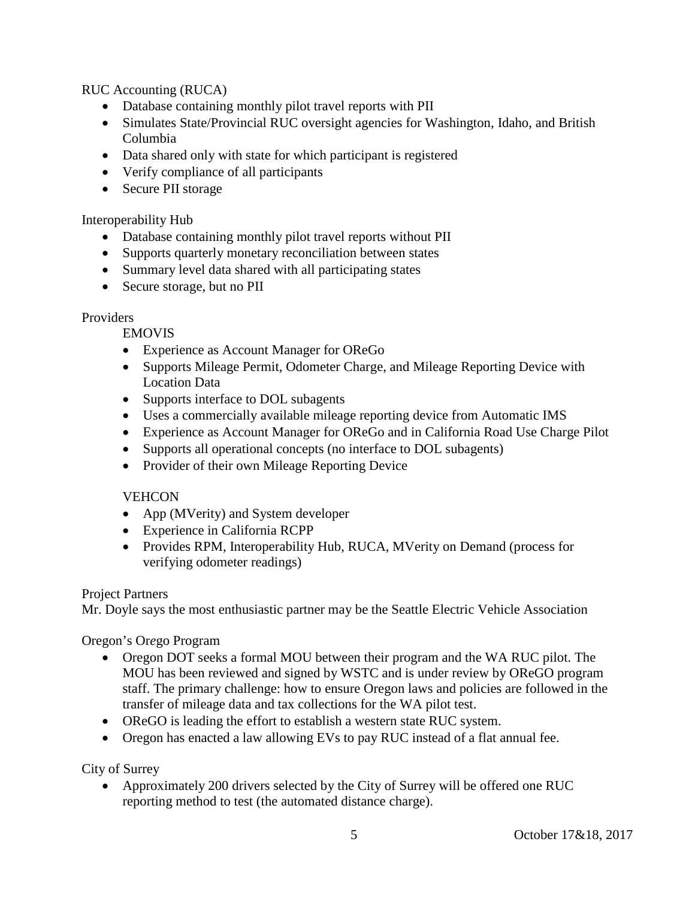RUC Accounting (RUCA)

- Database containing monthly pilot travel reports with PII
- Simulates State/Provincial RUC oversight agencies for Washington, Idaho, and British Columbia
- Data shared only with state for which participant is registered
- Verify compliance of all participants
- Secure PII storage

Interoperability Hub

- Database containing monthly pilot travel reports without PII
- Supports quarterly monetary reconciliation between states
- Summary level data shared with all participating states
- Secure storage, but no PII

#### **Providers**

EMOVIS

- Experience as Account Manager for OReGo
- Supports Mileage Permit, Odometer Charge, and Mileage Reporting Device with Location Data
- Supports interface to DOL subagents
- Uses a commercially available mileage reporting device from Automatic IMS
- Experience as Account Manager for OReGo and in California Road Use Charge Pilot
- Supports all operational concepts (no interface to DOL subagents)
- Provider of their own Mileage Reporting Device

# **VEHCON**

- App (MVerity) and System developer
- Experience in California RCPP
- Provides RPM, Interoperability Hub, RUCA, MVerity on Demand (process for verifying odometer readings)

# Project Partners

Mr. Doyle says the most enthusiastic partner may be the Seattle Electric Vehicle Association

Oregon's Or*e*go Program

- Oregon DOT seeks a formal MOU between their program and the WA RUC pilot. The MOU has been reviewed and signed by WSTC and is under review by OReGO program staff. The primary challenge: how to ensure Oregon laws and policies are followed in the transfer of mileage data and tax collections for the WA pilot test.
- OReGO is leading the effort to establish a western state RUC system.
- Oregon has enacted a law allowing EVs to pay RUC instead of a flat annual fee.

City of Surrey

• Approximately 200 drivers selected by the City of Surrey will be offered one RUC reporting method to test (the automated distance charge).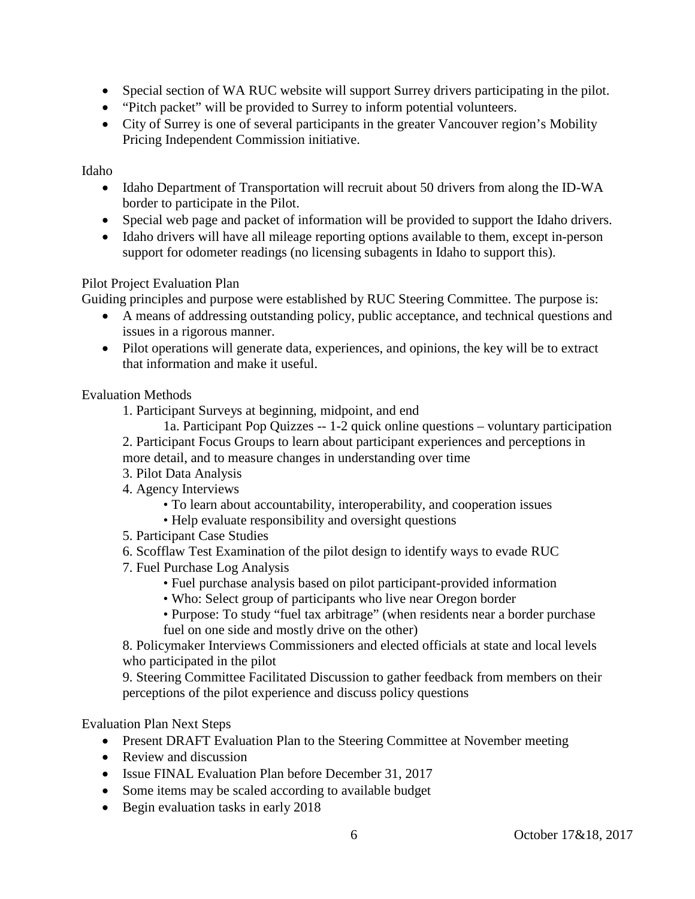- Special section of WA RUC website will support Surrey drivers participating in the pilot.
- "Pitch packet" will be provided to Surrey to inform potential volunteers.
- City of Surrey is one of several participants in the greater Vancouver region's Mobility Pricing Independent Commission initiative.

#### Idaho

- Idaho Department of Transportation will recruit about 50 drivers from along the ID-WA border to participate in the Pilot.
- Special web page and packet of information will be provided to support the Idaho drivers.
- Idaho drivers will have all mileage reporting options available to them, except in-person support for odometer readings (no licensing subagents in Idaho to support this).

# Pilot Project Evaluation Plan

Guiding principles and purpose were established by RUC Steering Committee. The purpose is:

- A means of addressing outstanding policy, public acceptance, and technical questions and issues in a rigorous manner.
- Pilot operations will generate data, experiences, and opinions, the key will be to extract that information and make it useful.

Evaluation Methods

- 1. Participant Surveys at beginning, midpoint, and end
- 1a. Participant Pop Quizzes -- 1-2 quick online questions voluntary participation 2. Participant Focus Groups to learn about participant experiences and perceptions in more detail, and to measure changes in understanding over time
- 3. Pilot Data Analysis
- 4. Agency Interviews
	- To learn about accountability, interoperability, and cooperation issues
	- Help evaluate responsibility and oversight questions
- 5. Participant Case Studies
- 6. Scofflaw Test Examination of the pilot design to identify ways to evade RUC
- 7. Fuel Purchase Log Analysis
	- Fuel purchase analysis based on pilot participant-provided information
	- Who: Select group of participants who live near Oregon border
	- Purpose: To study "fuel tax arbitrage" (when residents near a border purchase fuel on one side and mostly drive on the other)

8. Policymaker Interviews Commissioners and elected officials at state and local levels who participated in the pilot

9. Steering Committee Facilitated Discussion to gather feedback from members on their perceptions of the pilot experience and discuss policy questions

# Evaluation Plan Next Steps

- Present DRAFT Evaluation Plan to the Steering Committee at November meeting
- Review and discussion
- Issue FINAL Evaluation Plan before December 31, 2017
- Some items may be scaled according to available budget
- Begin evaluation tasks in early 2018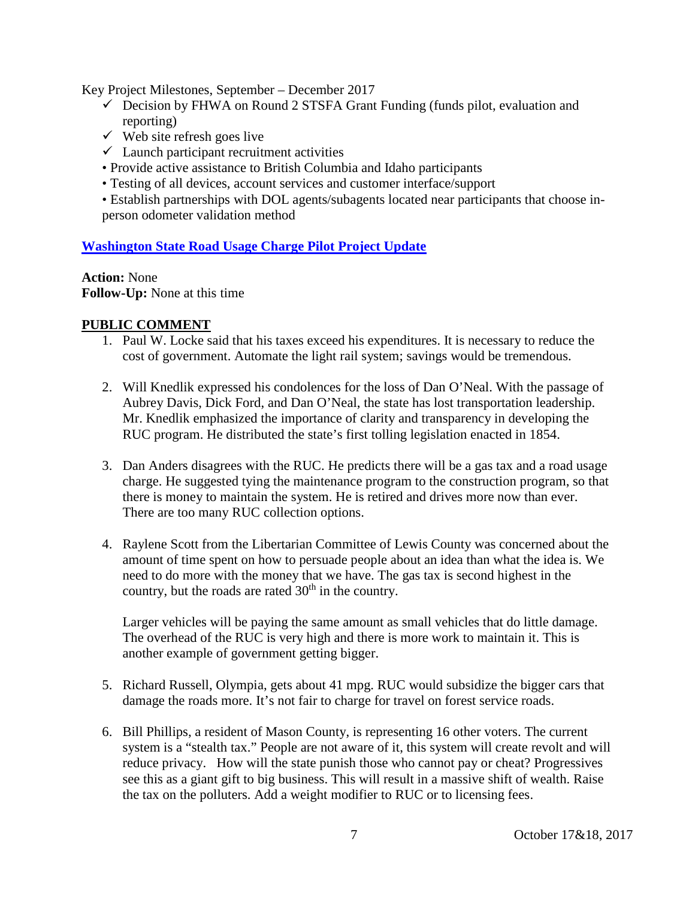Key Project Milestones, September – December 2017

- $\checkmark$  Decision by FHWA on Round 2 STSFA Grant Funding (funds pilot, evaluation and reporting)
- $\checkmark$  Web site refresh goes live
- $\checkmark$  Launch participant recruitment activities
- Provide active assistance to British Columbia and Idaho participants
- Testing of all devices, account services and customer interface/support

• Establish partnerships with DOL agents/subagents located near participants that choose inperson odometer validation method

#### **[Washington State Road Usage Charge Pilot Project Update](http://www.wstc.wa.gov/Meetings/AgendasMinutes/agendas/2017/October17/documents/2017_1017_BP2_RUCPilotProject.pdf)**

**Action:** None **Follow-Up:** None at this time

#### **PUBLIC COMMENT**

- 1. Paul W. Locke said that his taxes exceed his expenditures. It is necessary to reduce the cost of government. Automate the light rail system; savings would be tremendous.
- 2. Will Knedlik expressed his condolences for the loss of Dan O'Neal. With the passage of Aubrey Davis, Dick Ford, and Dan O'Neal, the state has lost transportation leadership. Mr. Knedlik emphasized the importance of clarity and transparency in developing the RUC program. He distributed the state's first tolling legislation enacted in 1854.
- 3. Dan Anders disagrees with the RUC. He predicts there will be a gas tax and a road usage charge. He suggested tying the maintenance program to the construction program, so that there is money to maintain the system. He is retired and drives more now than ever. There are too many RUC collection options.
- 4. Raylene Scott from the Libertarian Committee of Lewis County was concerned about the amount of time spent on how to persuade people about an idea than what the idea is. We need to do more with the money that we have. The gas tax is second highest in the country, but the roads are rated  $30<sup>th</sup>$  in the country.

Larger vehicles will be paying the same amount as small vehicles that do little damage. The overhead of the RUC is very high and there is more work to maintain it. This is another example of government getting bigger.

- 5. Richard Russell, Olympia, gets about 41 mpg. RUC would subsidize the bigger cars that damage the roads more. It's not fair to charge for travel on forest service roads.
- 6. Bill Phillips, a resident of Mason County, is representing 16 other voters. The current system is a "stealth tax." People are not aware of it, this system will create revolt and will reduce privacy. How will the state punish those who cannot pay or cheat? Progressives see this as a giant gift to big business. This will result in a massive shift of wealth. Raise the tax on the polluters. Add a weight modifier to RUC or to licensing fees.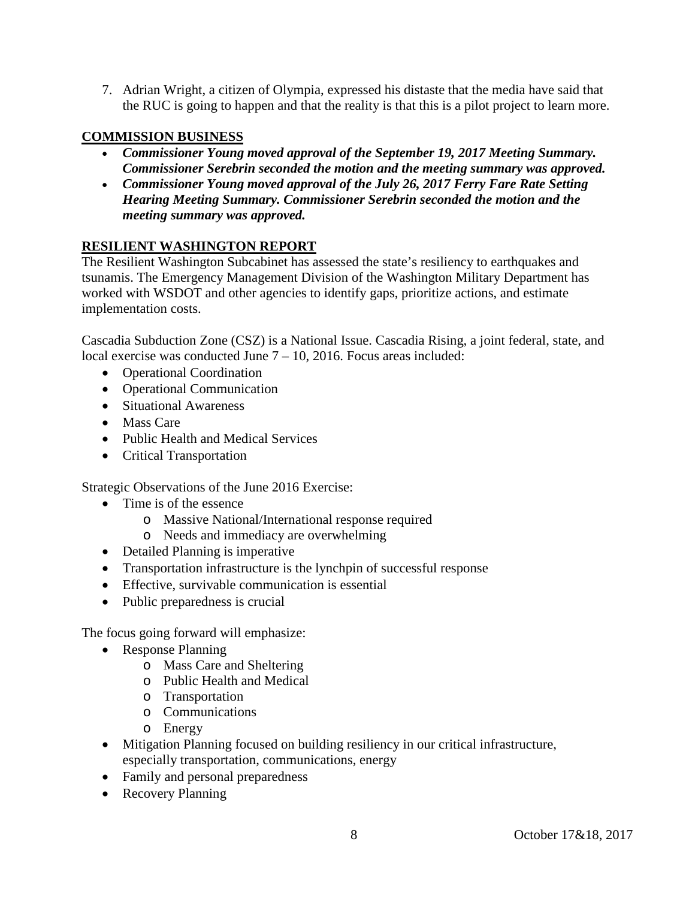7. Adrian Wright, a citizen of Olympia, expressed his distaste that the media have said that the RUC is going to happen and that the reality is that this is a pilot project to learn more.

# **COMMISSION BUSINESS**

- *Commissioner Young moved approval of the September 19, 2017 Meeting Summary. Commissioner Serebrin seconded the motion and the meeting summary was approved.*
- *Commissioner Young moved approval of the July 26, 2017 Ferry Fare Rate Setting Hearing Meeting Summary. Commissioner Serebrin seconded the motion and the meeting summary was approved.*

# **RESILIENT WASHINGTON REPORT**

The Resilient Washington Subcabinet has assessed the state's resiliency to earthquakes and tsunamis. The Emergency Management Division of the Washington Military Department has worked with WSDOT and other agencies to identify gaps, prioritize actions, and estimate implementation costs.

Cascadia Subduction Zone (CSZ) is a National Issue. Cascadia Rising, a joint federal, state, and local exercise was conducted June 7 – 10, 2016. Focus areas included:

- Operational Coordination
- Operational Communication
- Situational Awareness
- Mass Care
- Public Health and Medical Services
- Critical Transportation

Strategic Observations of the June 2016 Exercise:

- Time is of the essence
	- o Massive National/International response required
	- o Needs and immediacy are overwhelming
- Detailed Planning is imperative
- Transportation infrastructure is the lynchpin of successful response
- Effective, survivable communication is essential
- Public preparedness is crucial

The focus going forward will emphasize:

- Response Planning
	- o Mass Care and Sheltering
	- o Public Health and Medical
	- o Transportation
	- o Communications
	- o Energy
- Mitigation Planning focused on building resiliency in our critical infrastructure, especially transportation, communications, energy
- Family and personal preparedness
- Recovery Planning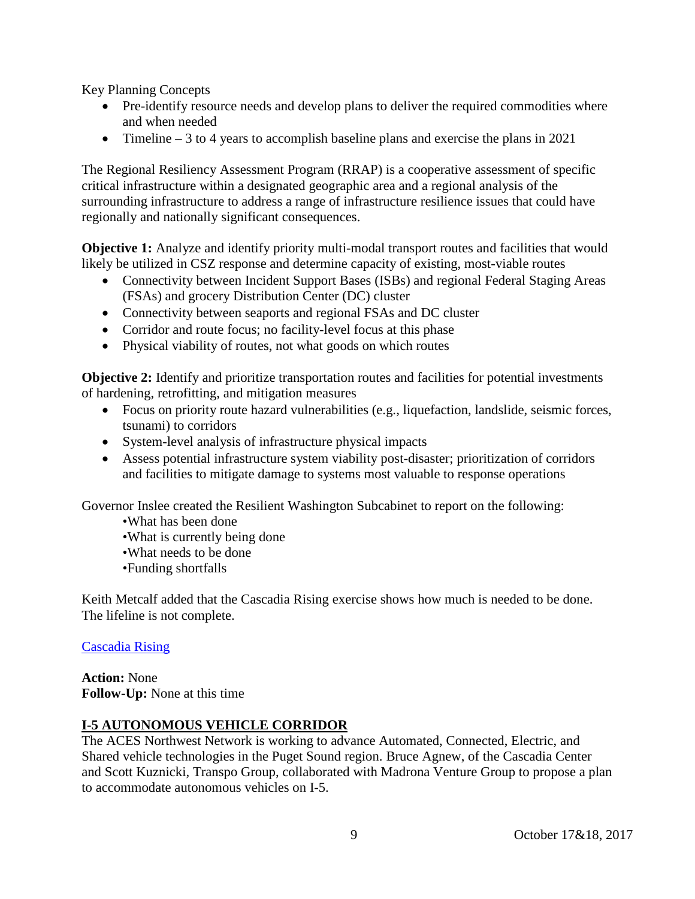Key Planning Concepts

- Pre-identify resource needs and develop plans to deliver the required commodities where and when needed
- Timeline  $-3$  to 4 years to accomplish baseline plans and exercise the plans in 2021

The Regional Resiliency Assessment Program (RRAP) is a cooperative assessment of specific critical infrastructure within a designated geographic area and a regional analysis of the surrounding infrastructure to address a range of infrastructure resilience issues that could have regionally and nationally significant consequences.

**Objective 1:** Analyze and identify priority multi-modal transport routes and facilities that would likely be utilized in CSZ response and determine capacity of existing, most-viable routes

- Connectivity between Incident Support Bases (ISBs) and regional Federal Staging Areas (FSAs) and grocery Distribution Center (DC) cluster
- Connectivity between seaports and regional FSAs and DC cluster
- Corridor and route focus; no facility-level focus at this phase
- Physical viability of routes, not what goods on which routes

**Objective 2:** Identify and prioritize transportation routes and facilities for potential investments of hardening, retrofitting, and mitigation measures

- Focus on priority route hazard vulnerabilities (e.g., liquefaction, landslide, seismic forces, tsunami) to corridors
- System-level analysis of infrastructure physical impacts
- Assess potential infrastructure system viability post-disaster; prioritization of corridors and facilities to mitigate damage to systems most valuable to response operations

Governor Inslee created the Resilient Washington Subcabinet to report on the following:

•What has been done

- •What is currently being done
- •What needs to be done
- •Funding shortfalls

Keith Metcalf added that the Cascadia Rising exercise shows how much is needed to be done. The lifeline is not complete.

#### [Cascadia Rising](http://www.wstc.wa.gov/documents/1017_BP6_CascadiaRising.pdf)

**Action:** None **Follow-Up:** None at this time

# **I-5 AUTONOMOUS VEHICLE CORRIDOR**

The ACES Northwest Network is working to advance Automated, Connected, Electric, and Shared vehicle technologies in the Puget Sound region. Bruce Agnew, of the Cascadia Center and Scott Kuznicki, Transpo Group, collaborated with Madrona Venture Group to propose a plan to accommodate autonomous vehicles on I-5.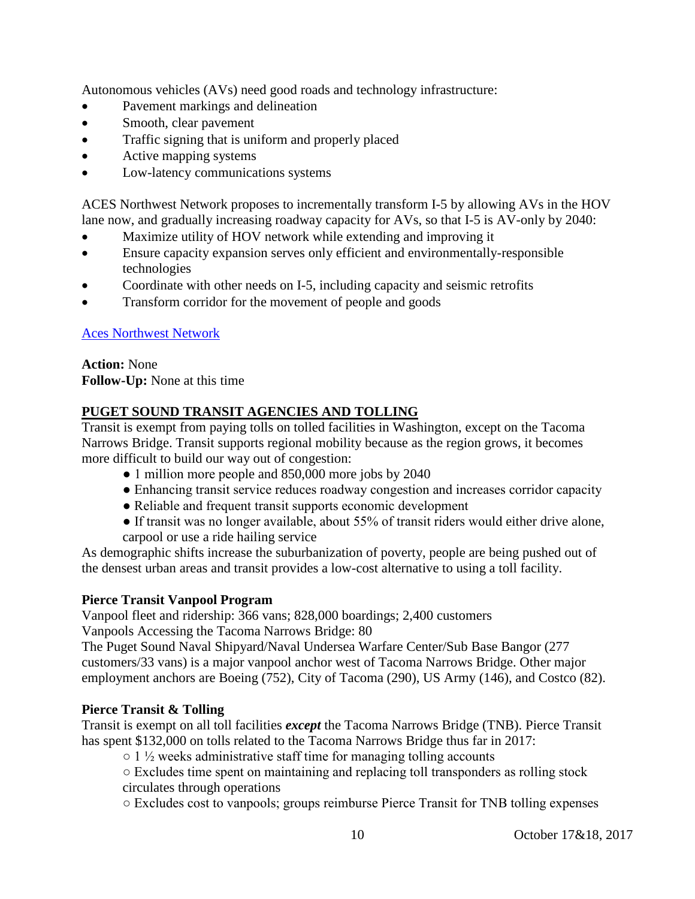Autonomous vehicles (AVs) need good roads and technology infrastructure:

- Pavement markings and delineation
- Smooth, clear pavement
- Traffic signing that is uniform and properly placed
- Active mapping systems
- Low-latency communications systems

ACES Northwest Network proposes to incrementally transform I-5 by allowing AVs in the HOV lane now, and gradually increasing roadway capacity for AVs, so that I-5 is AV-only by 2040:

- Maximize utility of HOV network while extending and improving it
- Ensure capacity expansion serves only efficient and environmentally-responsible technologies
- Coordinate with other needs on I-5, including capacity and seismic retrofits
- Transform corridor for the movement of people and goods

# [Aces Northwest Network](http://www.wstc.wa.gov/Meetings/AgendasMinutes/agendas/2017/October17/documents/2017_1017_BP7_AcesNorthwestNetwork.pdf)

**Action:** None **Follow-Up:** None at this time

# **PUGET SOUND TRANSIT AGENCIES AND TOLLING**

Transit is exempt from paying tolls on tolled facilities in Washington, except on the Tacoma Narrows Bridge. Transit supports regional mobility because as the region grows, it becomes more difficult to build our way out of congestion:

- 1 million more people and 850,000 more jobs by 2040
- Enhancing transit service reduces roadway congestion and increases corridor capacity
- Reliable and frequent transit supports economic development
- If transit was no longer available, about 55% of transit riders would either drive alone, carpool or use a ride hailing service

As demographic shifts increase the suburbanization of poverty, people are being pushed out of the densest urban areas and transit provides a low-cost alternative to using a toll facility.

# **Pierce Transit Vanpool Program**

Vanpool fleet and ridership: 366 vans; 828,000 boardings; 2,400 customers Vanpools Accessing the Tacoma Narrows Bridge: 80

The Puget Sound Naval Shipyard/Naval Undersea Warfare Center/Sub Base Bangor (277 customers/33 vans) is a major vanpool anchor west of Tacoma Narrows Bridge. Other major employment anchors are Boeing (752), City of Tacoma (290), US Army (146), and Costco (82).

# **Pierce Transit & Tolling**

Transit is exempt on all toll facilities *except* the Tacoma Narrows Bridge (TNB). Pierce Transit has spent \$132,000 on tolls related to the Tacoma Narrows Bridge thus far in 2017:

 $\circ$  1  $\frac{1}{2}$  weeks administrative staff time for managing tolling accounts

○ Excludes time spent on maintaining and replacing toll transponders as rolling stock circulates through operations

○ Excludes cost to vanpools; groups reimburse Pierce Transit for TNB tolling expenses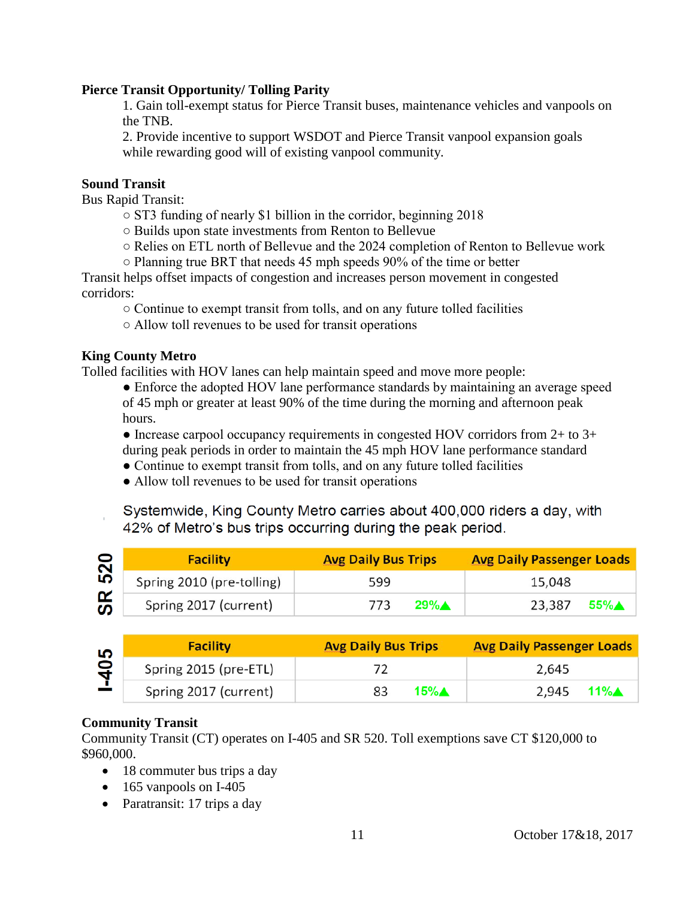#### **Pierce Transit Opportunity/ Tolling Parity**

1. Gain toll-exempt status for Pierce Transit buses, maintenance vehicles and vanpools on the TNB.

2. Provide incentive to support WSDOT and Pierce Transit vanpool expansion goals while rewarding good will of existing vanpool community.

#### **Sound Transit**

Bus Rapid Transit:

- ST3 funding of nearly \$1 billion in the corridor, beginning 2018
- Builds upon state investments from Renton to Bellevue
- Relies on ETL north of Bellevue and the 2024 completion of Renton to Bellevue work
- Planning true BRT that needs 45 mph speeds 90% of the time or better

Transit helps offset impacts of congestion and increases person movement in congested corridors:

○ Continue to exempt transit from tolls, and on any future tolled facilities

○ Allow toll revenues to be used for transit operations

#### **King County Metro**

Tolled facilities with HOV lanes can help maintain speed and move more people:

• Enforce the adopted HOV lane performance standards by maintaining an average speed of 45 mph or greater at least 90% of the time during the morning and afternoon peak hours.

 $\bullet$  Increase carpool occupancy requirements in congested HOV corridors from 2+ to 3+ during peak periods in order to maintain the 45 mph HOV lane performance standard

- Continue to exempt transit from tolls, and on any future tolled facilities
- Allow toll revenues to be used for transit operations

Systemwide, King County Metro carries about 400,000 riders a day, with 42% of Metro's bus trips occurring during the peak period.

| $\bullet$ | <b>Facility</b>           | <b>Avg Daily Bus Trips</b> | <b>Avg Daily Passenger Loads</b> |
|-----------|---------------------------|----------------------------|----------------------------------|
| 52        | Spring 2010 (pre-tolling) | 599                        | 15,048                           |
| SR<br>    | Spring 2017 (current)     | $29\%$ $\triangle$<br>773  | 55%▲<br>23,387                   |

| မာ<br>$\mathbf{a}$ | <b>Facility</b>       | <b>Avg Daily Bus Trips</b> | <b>Avg Daily Passenger Loads</b> |
|--------------------|-----------------------|----------------------------|----------------------------------|
|                    | Spring 2015 (pre-ETL) |                            | 2,645                            |
|                    | Spring 2017 (current) | 15%∧                       | 11%A<br>2,945                    |

# **Community Transit**

Community Transit (CT) operates on I-405 and SR 520. Toll exemptions save CT \$120,000 to \$960,000.

- 18 commuter bus trips a day
- 165 vanpools on I-405
- Paratransit: 17 trips a day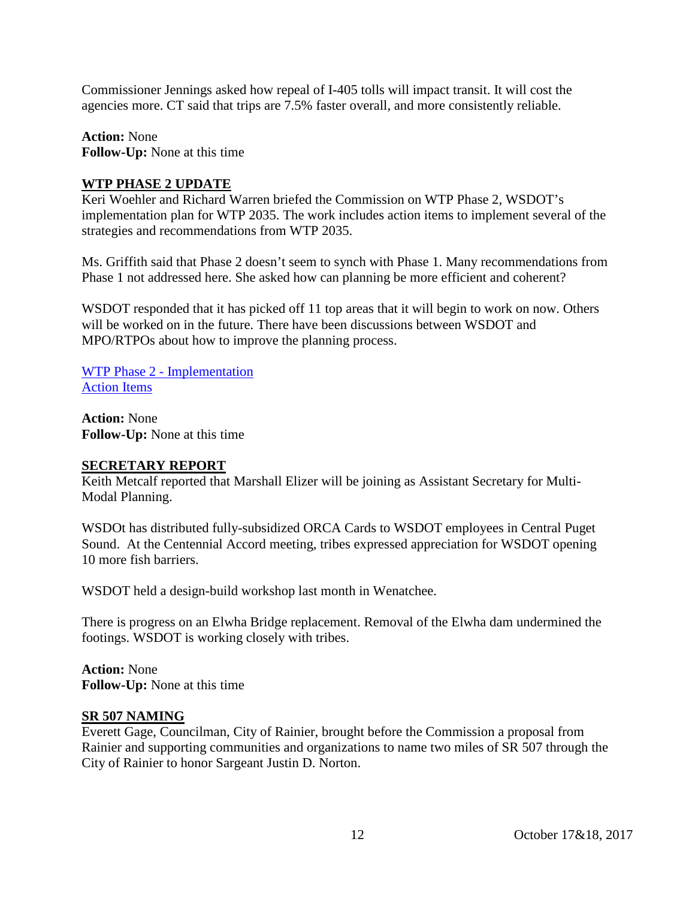Commissioner Jennings asked how repeal of I-405 tolls will impact transit. It will cost the agencies more. CT said that trips are 7.5% faster overall, and more consistently reliable.

**Action:** None **Follow-Up:** None at this time

#### **WTP PHASE 2 UPDATE**

Keri Woehler and Richard Warren briefed the Commission on WTP Phase 2, WSDOT's implementation plan for WTP 2035. The work includes action items to implement several of the strategies and recommendations from WTP 2035.

Ms. Griffith said that Phase 2 doesn't seem to synch with Phase 1. Many recommendations from Phase 1 not addressed here. She asked how can planning be more efficient and coherent?

WSDOT responded that it has picked off 11 top areas that it will begin to work on now. Others will be worked on in the future. There have been discussions between WSDOT and MPO/RTPOs about how to improve the planning process.

WTP Phase 2 - [Implementation](http://www.wstc.wa.gov/Meetings/AgendasMinutes/agendas/2017/October17/documents/2017_1017_BP9_WTPPhase2.pdf) [Action Items](http://www.wstc.wa.gov/Meetings/AgendasMinutes/agendas/2017/October17/documents/2017_1017_BP9_ActionItems.pdf)

**Action:** None **Follow-Up:** None at this time

#### **SECRETARY REPORT**

Keith Metcalf reported that Marshall Elizer will be joining as Assistant Secretary for Multi-Modal Planning.

WSDOt has distributed fully-subsidized ORCA Cards to WSDOT employees in Central Puget Sound. At the Centennial Accord meeting, tribes expressed appreciation for WSDOT opening 10 more fish barriers.

WSDOT held a design-build workshop last month in Wenatchee.

There is progress on an Elwha Bridge replacement. Removal of the Elwha dam undermined the footings. WSDOT is working closely with tribes.

**Action:** None **Follow-Up:** None at this time

#### **SR 507 NAMING**

Everett Gage, Councilman, City of Rainier, brought before the Commission a proposal from Rainier and supporting communities and organizations to name two miles of SR 507 through the City of Rainier to honor Sargeant Justin D. Norton.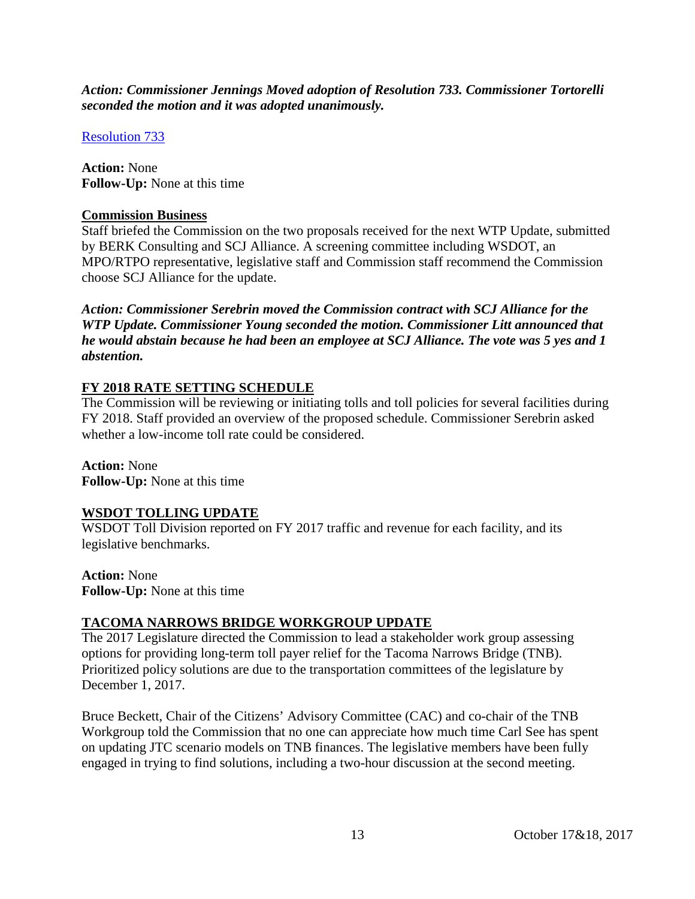*Action: Commissioner Jennings Moved adoption of Resolution 733. Commissioner Tortorelli seconded the motion and it was adopted unanimously.*

[Resolution 733](http://www.wstc.wa.gov/Meetings/AgendasMinutes/agendas/2017/October17/documents/2017_1017_BP10_ResolutionNo733.pdf)

**Action:** None **Follow-Up:** None at this time

#### **Commission Business**

Staff briefed the Commission on the two proposals received for the next WTP Update, submitted by BERK Consulting and SCJ Alliance. A screening committee including WSDOT, an MPO/RTPO representative, legislative staff and Commission staff recommend the Commission choose SCJ Alliance for the update.

*Action: Commissioner Serebrin moved the Commission contract with SCJ Alliance for the WTP Update. Commissioner Young seconded the motion. Commissioner Litt announced that he would abstain because he had been an employee at SCJ Alliance. The vote was 5 yes and 1 abstention.*

# **FY 2018 RATE SETTING SCHEDULE**

The Commission will be reviewing or initiating tolls and toll policies for several facilities during FY 2018. Staff provided an overview of the proposed schedule. Commissioner Serebrin asked whether a low-income toll rate could be considered.

**Action:** None **Follow-Up:** None at this time

# **WSDOT TOLLING UPDATE**

WSDOT Toll Division reported on FY 2017 traffic and revenue for each facility, and its legislative benchmarks.

**Action:** None **Follow-Up:** None at this time

# **TACOMA NARROWS BRIDGE WORKGROUP UPDATE**

The 2017 Legislature directed the Commission to lead a stakeholder work group assessing options for providing long-term toll payer relief for the Tacoma Narrows Bridge (TNB). Prioritized policy solutions are due to the transportation committees of the legislature by December 1, 2017.

Bruce Beckett, Chair of the Citizens' Advisory Committee (CAC) and co-chair of the TNB Workgroup told the Commission that no one can appreciate how much time Carl See has spent on updating JTC scenario models on TNB finances. The legislative members have been fully engaged in trying to find solutions, including a two-hour discussion at the second meeting.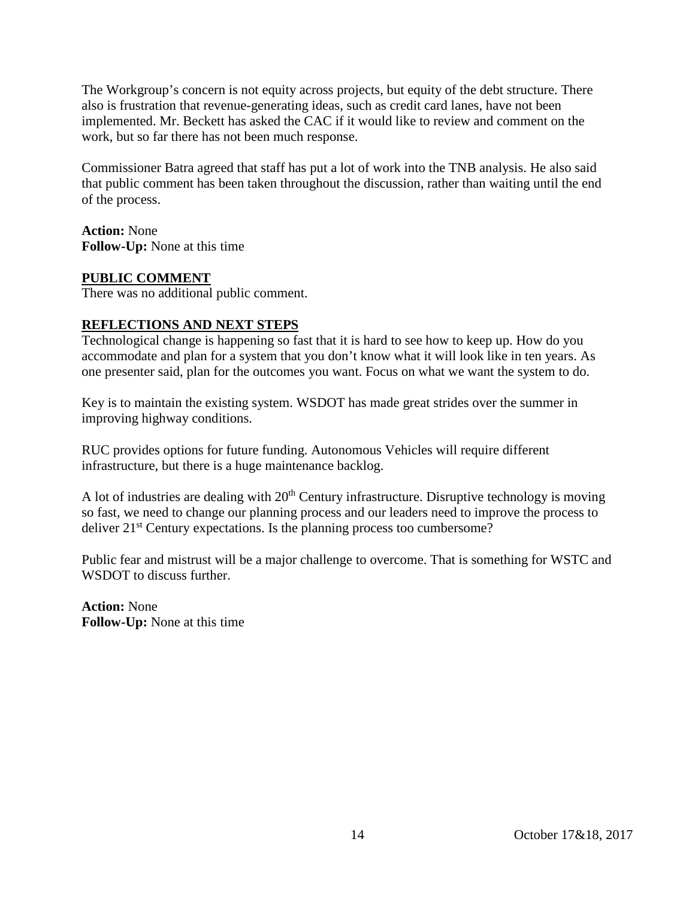The Workgroup's concern is not equity across projects, but equity of the debt structure. There also is frustration that revenue-generating ideas, such as credit card lanes, have not been implemented. Mr. Beckett has asked the CAC if it would like to review and comment on the work, but so far there has not been much response.

Commissioner Batra agreed that staff has put a lot of work into the TNB analysis. He also said that public comment has been taken throughout the discussion, rather than waiting until the end of the process.

**Action:** None **Follow-Up:** None at this time

#### **PUBLIC COMMENT**

There was no additional public comment.

#### **REFLECTIONS AND NEXT STEPS**

Technological change is happening so fast that it is hard to see how to keep up. How do you accommodate and plan for a system that you don't know what it will look like in ten years. As one presenter said, plan for the outcomes you want. Focus on what we want the system to do.

Key is to maintain the existing system. WSDOT has made great strides over the summer in improving highway conditions.

RUC provides options for future funding. Autonomous Vehicles will require different infrastructure, but there is a huge maintenance backlog.

A lot of industries are dealing with  $20<sup>th</sup>$  Century infrastructure. Disruptive technology is moving so fast, we need to change our planning process and our leaders need to improve the process to deliver  $21<sup>st</sup>$  Century expectations. Is the planning process too cumbersome?

Public fear and mistrust will be a major challenge to overcome. That is something for WSTC and WSDOT to discuss further.

**Action:** None **Follow-Up:** None at this time